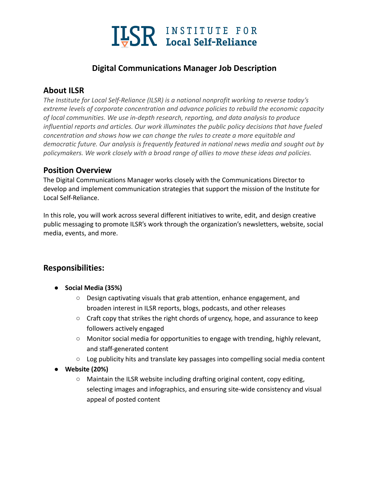

## **Digital Communications Manager Job Description**

# **About ILSR**

*The Institute for Local Self-Reliance (ILSR) is a national nonprofit working to reverse today's extreme levels of corporate concentration and advance policies to rebuild the economic capacity of local communities. We use in-depth research, reporting, and data analysis to produce influential reports and articles. Our work illuminates the public policy decisions that have fueled concentration and shows how we can change the rules to create a more equitable and democratic future. Our analysis is frequently featured in national news media and sought out by policymakers. We work closely with a broad range of allies to move these ideas and policies.*

### **Position Overview**

The Digital Communications Manager works closely with the Communications Director to develop and implement communication strategies that support the mission of the Institute for Local Self-Reliance.

In this role, you will work across several different initiatives to write, edit, and design creative public messaging to promote ILSR's work through the organization's newsletters, website, social media, events, and more.

# **Responsibilities:**

- **● Social Media (35%)**
	- **○** Design captivating visuals that grab attention, enhance engagement, and broaden interest in ILSR reports, blogs, podcasts, and other releases
	- Craft copy that strikes the right chords of urgency, hope, and assurance to keep followers actively engaged
	- Monitor social media for opportunities to engage with trending, highly relevant, and staff-generated content
	- $\circ$  Log publicity hits and translate key passages into compelling social media content
- **Website (20%)**
	- Maintain the ILSR website including drafting original content, copy editing, selecting images and infographics, and ensuring site-wide consistency and visual appeal of posted content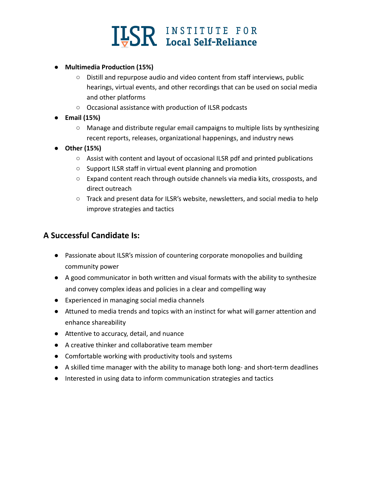

- **● Multimedia Production (15%)**
	- Distill and repurpose audio and video content from staff interviews, public hearings, virtual events, and other recordings that can be used on social media and other platforms
	- Occasional assistance with production of ILSR podcasts
- **● Email (15%)**
	- Manage and distribute regular email campaigns to multiple lists by synthesizing recent reports, releases, organizational happenings, and industry news
- **● Other (15%)**
	- Assist with content and layout of occasional ILSR pdf and printed publications
	- Support ILSR staff in virtual event planning and promotion
	- Expand content reach through outside channels via media kits, crossposts, and direct outreach
	- Track and present data for ILSR's website, newsletters, and social media to help improve strategies and tactics

#### **A Successful Candidate Is:**

- Passionate about ILSR's mission of countering corporate monopolies and building community power
- A good communicator in both written and visual formats with the ability to synthesize and convey complex ideas and policies in a clear and compelling way
- Experienced in managing social media channels
- Attuned to media trends and topics with an instinct for what will garner attention and enhance shareability
- Attentive to accuracy, detail, and nuance
- A creative thinker and collaborative team member
- Comfortable working with productivity tools and systems
- A skilled time manager with the ability to manage both long- and short-term deadlines
- Interested in using data to inform communication strategies and tactics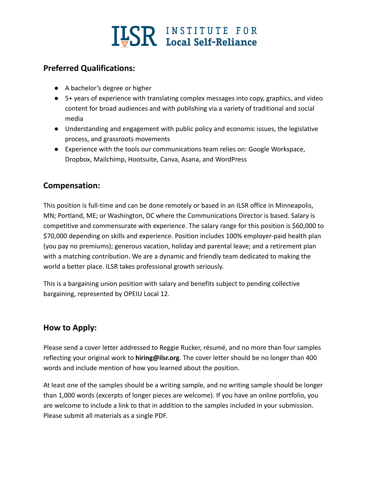

## **Preferred Qualifications:**

- A bachelor's degree or higher
- 5+ years of experience with translating complex messages into copy, graphics, and video content for broad audiences and with publishing via a variety of traditional and social media
- Understanding and engagement with public policy and economic issues, the legislative process, and grassroots movements
- Experience with the tools our communications team relies on: Google Workspace, Dropbox, Mailchimp, Hootsuite, Canva, Asana, and WordPress

### **Compensation:**

This position is full-time and can be done remotely or based in an ILSR office in Minneapolis, MN; Portland, ME; or Washington, DC where the Communications Director is based. Salary is competitive and commensurate with experience. The salary range for this position is \$60,000 to \$70,000 depending on skills and experience. Position includes 100% employer-paid health plan (you pay no premiums); generous vacation, holiday and parental leave; and a retirement plan with a matching contribution. We are a dynamic and friendly team dedicated to making the world a better place. ILSR takes professional growth seriously.

This is a bargaining union position with salary and benefits subject to pending collective bargaining, represented by OPEIU Local 12.

#### **How to Apply:**

Please send a cover letter addressed to Reggie Rucker, résumé, and no more than four samples reflecting your original work to **hiring@ilsr.org**. The cover letter should be no longer than 400 words and include mention of how you learned about the position.

At least one of the samples should be a writing sample, and no writing sample should be longer than 1,000 words (excerpts of longer pieces are welcome). If you have an online portfolio, you are welcome to include a link to that in addition to the samples included in your submission. Please submit all materials as a single PDF.